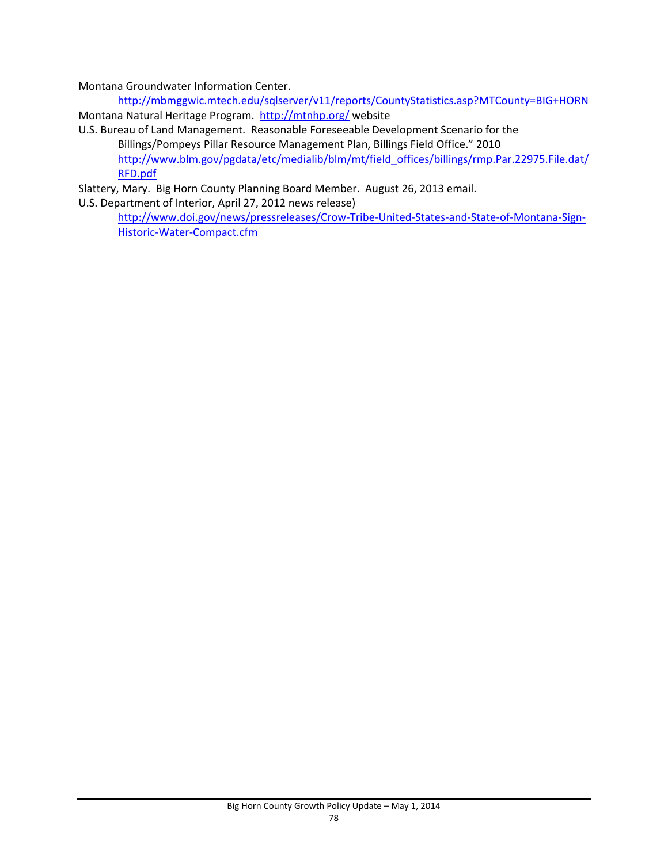Montana Groundwater Information Center.

http://mbmggwic.mtech.edu/sqlserver/v11/reports/CountyStatistics.asp?MTCounty=BIG+HORN Montana Natural Heritage Program. http://mtnhp.org/ website

U.S. Bureau of Land Management. Reasonable Foreseeable Development Scenario for the Billings/Pompeys Pillar Resource Management Plan, Billings Field Office." 2010 http://www.blm.gov/pgdata/etc/medialib/blm/mt/field\_offices/billings/rmp.Par.22975.File.dat/ RFD.pdf

Slattery, Mary. Big Horn County Planning Board Member. August 26, 2013 email.

U.S. Department of Interior, April 27, 2012 news release)

http://www.doi.gov/news/pressreleases/Crow-Tribe-United-States-and-State-of-Montana-Sign-Historic‐Water‐Compact.cfm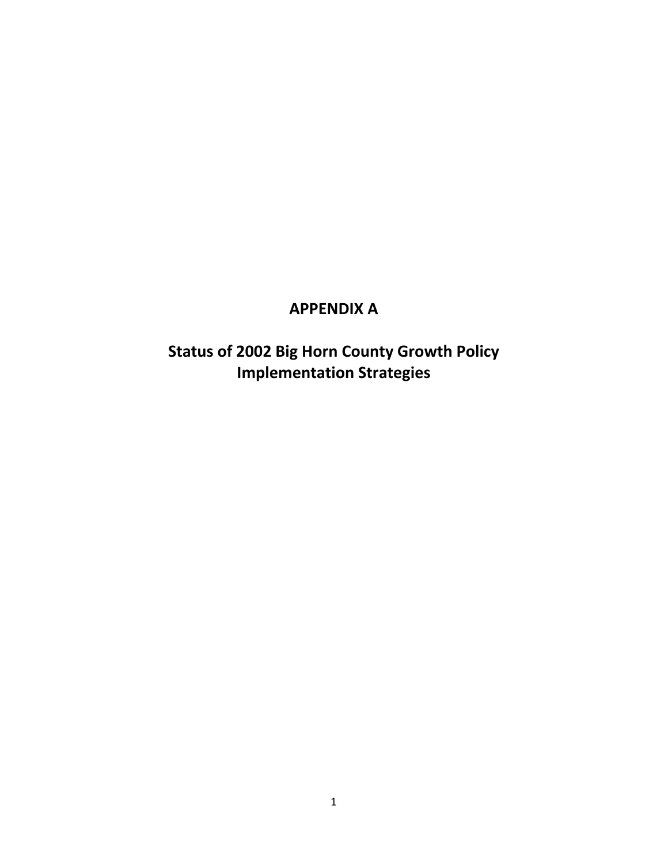## **APPENDIX A**

**Status of 2002 Big Horn County Growth Policy Implementation Strategies**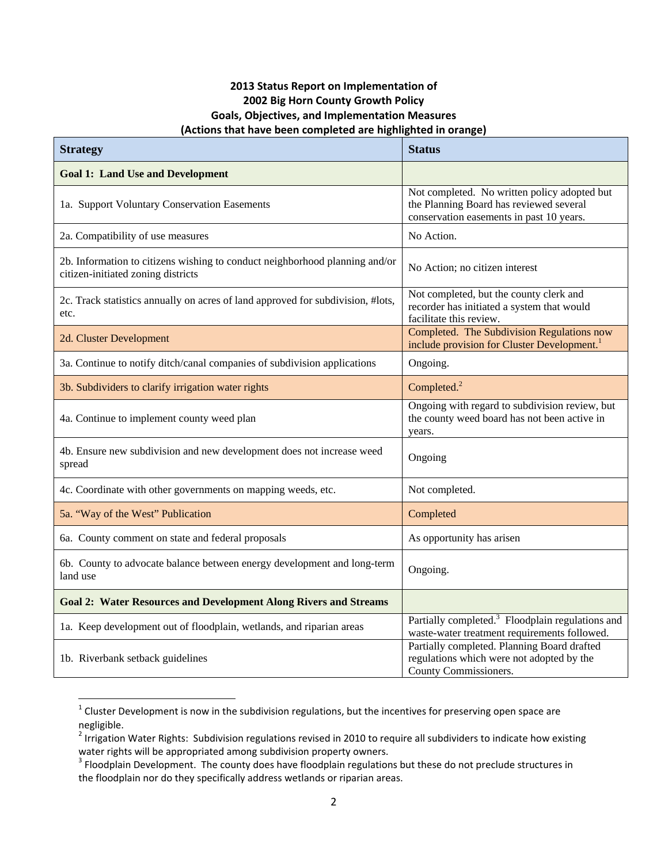## **2013 Status Report on Implementation of 2002 Big Horn County Growth Policy Goals, Objectives, and Implementation Measures (Actions that have been completed are highlighted in orange)**

| <b>Strategy</b>                                                                                                   | <b>Status</b>                                                                                                                       |
|-------------------------------------------------------------------------------------------------------------------|-------------------------------------------------------------------------------------------------------------------------------------|
| <b>Goal 1: Land Use and Development</b>                                                                           |                                                                                                                                     |
| 1a. Support Voluntary Conservation Easements                                                                      | Not completed. No written policy adopted but<br>the Planning Board has reviewed several<br>conservation easements in past 10 years. |
| 2a. Compatibility of use measures                                                                                 | No Action.                                                                                                                          |
| 2b. Information to citizens wishing to conduct neighborhood planning and/or<br>citizen-initiated zoning districts | No Action; no citizen interest                                                                                                      |
| 2c. Track statistics annually on acres of land approved for subdivision, #lots,<br>etc.                           | Not completed, but the county clerk and<br>recorder has initiated a system that would<br>facilitate this review.                    |
| 2d. Cluster Development                                                                                           | Completed. The Subdivision Regulations now<br>include provision for Cluster Development. <sup>1</sup>                               |
| 3a. Continue to notify ditch/canal companies of subdivision applications                                          | Ongoing.                                                                                                                            |
| 3b. Subdividers to clarify irrigation water rights                                                                | Completed. <sup>2</sup>                                                                                                             |
| 4a. Continue to implement county weed plan                                                                        | Ongoing with regard to subdivision review, but<br>the county weed board has not been active in<br>years.                            |
| 4b. Ensure new subdivision and new development does not increase weed<br>spread                                   | Ongoing                                                                                                                             |
| 4c. Coordinate with other governments on mapping weeds, etc.                                                      | Not completed.                                                                                                                      |
| 5a. "Way of the West" Publication                                                                                 | Completed                                                                                                                           |
| 6a. County comment on state and federal proposals                                                                 | As opportunity has arisen                                                                                                           |
| 6b. County to advocate balance between energy development and long-term<br>land use                               | Ongoing.                                                                                                                            |
| <b>Goal 2: Water Resources and Development Along Rivers and Streams</b>                                           |                                                                                                                                     |
| 1a. Keep development out of floodplain, wetlands, and riparian areas                                              | Partially completed. <sup>3</sup> Floodplain regulations and<br>waste-water treatment requirements followed.                        |
| 1b. Riverbank setback guidelines                                                                                  | Partially completed. Planning Board drafted<br>regulations which were not adopted by the<br>County Commissioners.                   |

 $^1$  Cluster Development is now in the subdivision regulations, but the incentives for preserving open space are negligible.

 $^2$  Irrigation Water Rights: Subdivision regulations revised in 2010 to require all subdividers to indicate how existing water rights will be appropriated among subdivision property owners.

 $3$  Floodplain Development. The county does have floodplain regulations but these do not preclude structures in the floodplain nor do they specifically address wetlands or riparian areas.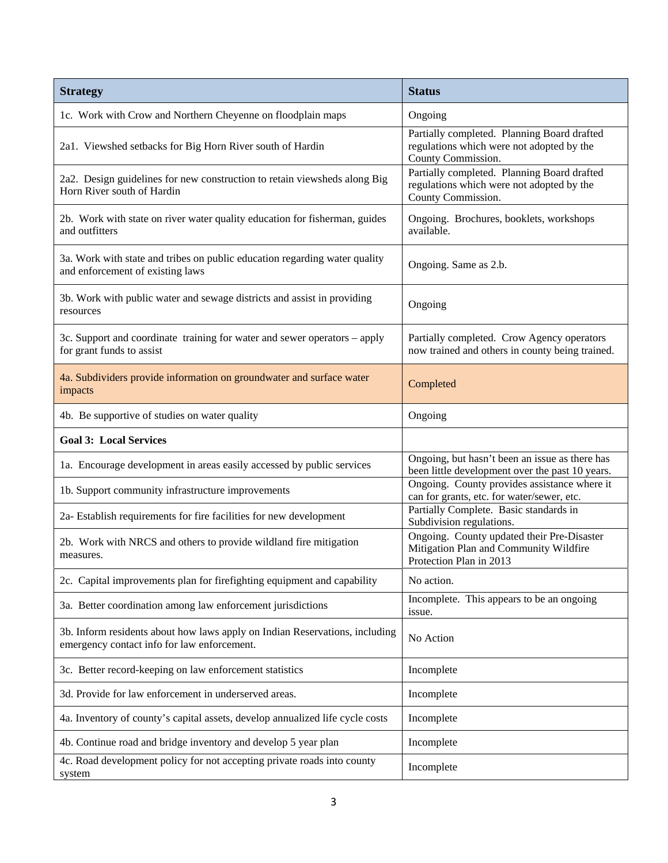| <b>Strategy</b>                                                                                                            | <b>Status</b>                                                                                                   |
|----------------------------------------------------------------------------------------------------------------------------|-----------------------------------------------------------------------------------------------------------------|
| 1c. Work with Crow and Northern Cheyenne on floodplain maps                                                                | Ongoing                                                                                                         |
| 2a1. Viewshed setbacks for Big Horn River south of Hardin                                                                  | Partially completed. Planning Board drafted<br>regulations which were not adopted by the<br>County Commission.  |
| 2a2. Design guidelines for new construction to retain viewsheds along Big<br>Horn River south of Hardin                    | Partially completed. Planning Board drafted<br>regulations which were not adopted by the<br>County Commission.  |
| 2b. Work with state on river water quality education for fisherman, guides<br>and outfitters                               | Ongoing. Brochures, booklets, workshops<br>available.                                                           |
| 3a. Work with state and tribes on public education regarding water quality<br>and enforcement of existing laws             | Ongoing. Same as 2.b.                                                                                           |
| 3b. Work with public water and sewage districts and assist in providing<br>resources                                       | Ongoing                                                                                                         |
| 3c. Support and coordinate training for water and sewer operators – apply<br>for grant funds to assist                     | Partially completed. Crow Agency operators<br>now trained and others in county being trained.                   |
| 4a. Subdividers provide information on groundwater and surface water<br>impacts                                            | Completed                                                                                                       |
| 4b. Be supportive of studies on water quality                                                                              | Ongoing                                                                                                         |
| <b>Goal 3: Local Services</b>                                                                                              |                                                                                                                 |
| 1a. Encourage development in areas easily accessed by public services                                                      | Ongoing, but hasn't been an issue as there has<br>been little development over the past 10 years.               |
| 1b. Support community infrastructure improvements                                                                          | Ongoing. County provides assistance where it<br>can for grants, etc. for water/sewer, etc.                      |
| 2a- Establish requirements for fire facilities for new development                                                         | Partially Complete. Basic standards in<br>Subdivision regulations.                                              |
| 2b. Work with NRCS and others to provide wildland fire mitigation<br>measures.                                             | Ongoing. County updated their Pre-Disaster<br>Mitigation Plan and Community Wildfire<br>Protection Plan in 2013 |
| 2c. Capital improvements plan for firefighting equipment and capability                                                    | No action.                                                                                                      |
| 3a. Better coordination among law enforcement jurisdictions                                                                | Incomplete. This appears to be an ongoing<br>issue.                                                             |
| 3b. Inform residents about how laws apply on Indian Reservations, including<br>emergency contact info for law enforcement. | No Action                                                                                                       |
| 3c. Better record-keeping on law enforcement statistics                                                                    | Incomplete                                                                                                      |
| 3d. Provide for law enforcement in underserved areas.                                                                      | Incomplete                                                                                                      |
| 4a. Inventory of county's capital assets, develop annualized life cycle costs                                              | Incomplete                                                                                                      |
| 4b. Continue road and bridge inventory and develop 5 year plan                                                             | Incomplete                                                                                                      |
| 4c. Road development policy for not accepting private roads into county<br>system                                          | Incomplete                                                                                                      |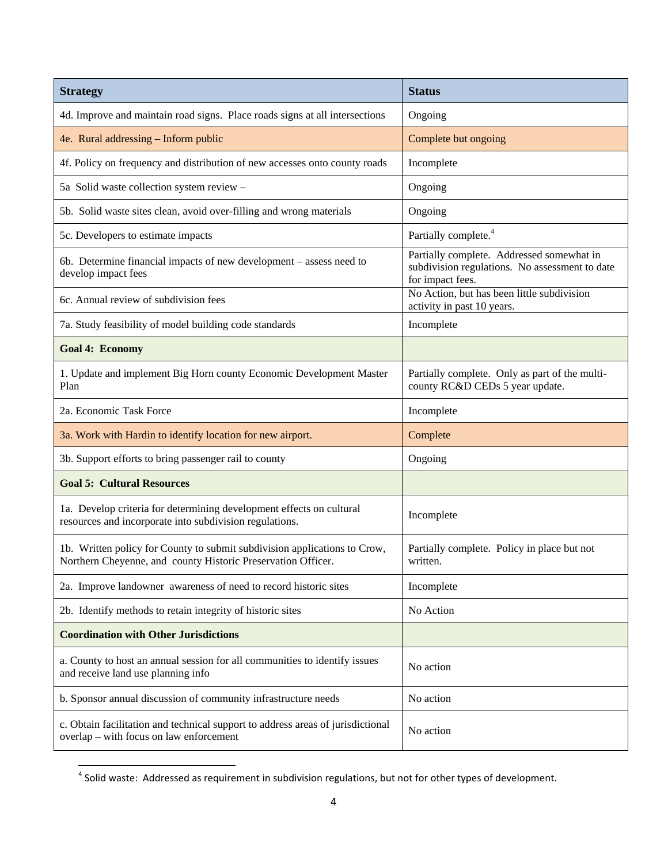| <b>Strategy</b>                                                                                                                           | <b>Status</b>                                                                                                   |
|-------------------------------------------------------------------------------------------------------------------------------------------|-----------------------------------------------------------------------------------------------------------------|
| 4d. Improve and maintain road signs. Place roads signs at all intersections                                                               | Ongoing                                                                                                         |
| 4e. Rural addressing - Inform public                                                                                                      | Complete but ongoing                                                                                            |
| 4f. Policy on frequency and distribution of new accesses onto county roads                                                                | Incomplete                                                                                                      |
| 5a Solid waste collection system review -                                                                                                 | Ongoing                                                                                                         |
| 5b. Solid waste sites clean, avoid over-filling and wrong materials                                                                       | Ongoing                                                                                                         |
| 5c. Developers to estimate impacts                                                                                                        | Partially complete. <sup>4</sup>                                                                                |
| 6b. Determine financial impacts of new development – assess need to<br>develop impact fees                                                | Partially complete. Addressed somewhat in<br>subdivision regulations. No assessment to date<br>for impact fees. |
| 6c. Annual review of subdivision fees                                                                                                     | No Action, but has been little subdivision<br>activity in past 10 years.                                        |
| 7a. Study feasibility of model building code standards                                                                                    | Incomplete                                                                                                      |
| <b>Goal 4: Economy</b>                                                                                                                    |                                                                                                                 |
| 1. Update and implement Big Horn county Economic Development Master<br>Plan                                                               | Partially complete. Only as part of the multi-<br>county RC&D CEDs 5 year update.                               |
| 2a. Economic Task Force                                                                                                                   | Incomplete                                                                                                      |
| 3a. Work with Hardin to identify location for new airport.                                                                                | Complete                                                                                                        |
| 3b. Support efforts to bring passenger rail to county                                                                                     | Ongoing                                                                                                         |
| <b>Goal 5: Cultural Resources</b>                                                                                                         |                                                                                                                 |
| 1a. Develop criteria for determining development effects on cultural<br>resources and incorporate into subdivision regulations.           | Incomplete                                                                                                      |
| 1b. Written policy for County to submit subdivision applications to Crow,<br>Northern Cheyenne, and county Historic Preservation Officer. | Partially complete. Policy in place but not<br>written.                                                         |
| 2a. Improve landowner awareness of need to record historic sites                                                                          | Incomplete                                                                                                      |
| 2b. Identify methods to retain integrity of historic sites                                                                                | No Action                                                                                                       |
| <b>Coordination with Other Jurisdictions</b>                                                                                              |                                                                                                                 |
| a. County to host an annual session for all communities to identify issues<br>and receive land use planning info                          | No action                                                                                                       |
| b. Sponsor annual discussion of community infrastructure needs                                                                            | No action                                                                                                       |
| c. Obtain facilitation and technical support to address areas of jurisdictional<br>overlap - with focus on law enforcement                | No action                                                                                                       |

 $^4$  Solid waste: Addressed as requirement in subdivision regulations, but not for other types of development.